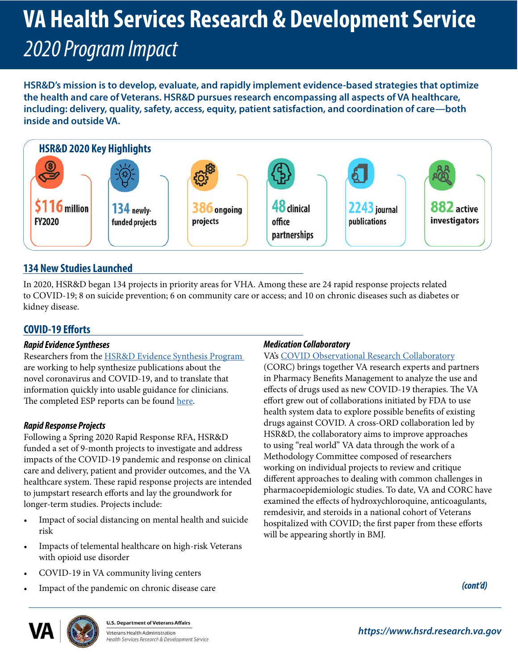# **VA Health Services Research & Development Service**  *2020 Program Impact*

**HSR&D's mission is to develop, evaluate, and rapidly implement evidence-based strategies that optimize the health and care of Veterans. HSR&D pursues research encompassing all aspects of VA healthcare, including: delivery, quality, safety, access, equity, patient satisfaction, and coordination of care—both inside and outside VA.** 



## **134 New Studies Launched**

In 2020, HSR&D began 134 projects in priority areas for VHA. Among these are 24 rapid response projects related to COVID-19; 8 on suicide prevention; 6 on community care or access; and 10 on chronic diseases such as diabetes or kidney disease.

## **COVID-19 Eforts**

#### *Rapid Evidence Syntheses*

Researchers from the **HSR&D** Evidence Synthesis Program are working to help synthesize publications about the novel coronavirus and COVID-19, and to translate that information quickly into usable guidance for clinicians. The completed ESP reports can be found [here.](https://www.covid19reviews.org/)

#### *Rapid Response Projects*

Following a Spring 2020 Rapid Response RFA, HSR&D funded a set of 9-month projects to investigate and address impacts of the COVID-19 pandemic and response on clinical care and delivery, patient and provider outcomes, and the VA healthcare system. These rapid response projects are intended to jumpstart research efforts and lay the groundwork for longer-term studies. Projects include:

- Impact of social distancing on mental health and suicide risk
- Impacts of telemental healthcare on high-risk Veterans with opioid use disorder
- COVID-19 in VA community living centers
- Impact of the pandemic on chronic disease care

#### *Medication Collaboratory*

#### VA's [COVID Observational Research Collaboratory](
https://www.research.va.gov/currents/1020-COVID-19-collaboratory-leverages-VA-treatment-data-to-probe-effects-of-drugs.cfm)

(CORC) brings together VA research experts and partners in Pharmacy Benefts Management to analyze the use and effects of drugs used as new COVID-19 therapies. The VA efort grew out of collaborations initiated by FDA to use health system data to explore possible benefts of existing drugs against COVID. A cross-ORD collaboration led by HSR&D, the collaboratory aims to improve approaches to using "real world" VA data through the work of a Methodology Committee composed of researchers working on individual projects to review and critique diferent approaches to dealing with common challenges in pharmacoepidemiologic studies. To date, VA and CORC have examined the efects of hydroxychloroquine, anticoagulants, remdesivir, and steroids in a national cohort of Veterans hospitalized with COVID; the first paper from these efforts will be appearing shortly in BMJ.

*(cont'd)* 



**U.S. Department of Veterans Affairs** Veterans Health Administration lealth Services Research & Development Service

*<https://www.hsrd.research.va.gov>*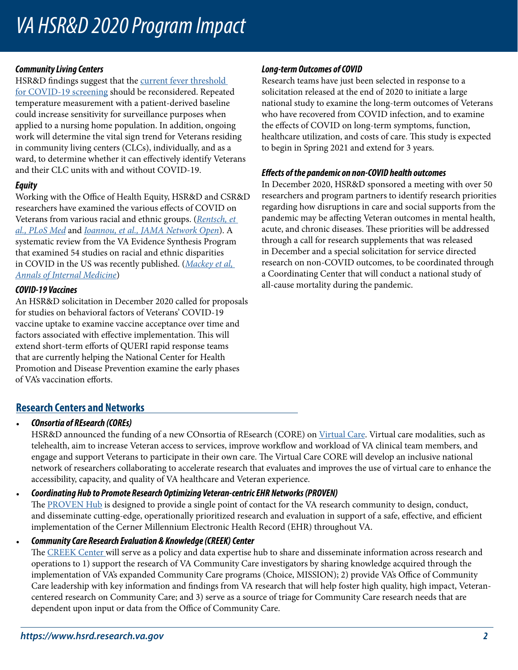## *VA HSR&D 2020 Program Impact*

#### *Community Living Centers*

HSR&D findings suggest that the current fever threshold [for COVID-19 screening](https://www.hsrd.research.va.gov/impacts/covid-19-community-living-centers.cfm) should be reconsidered. Repeated temperature measurement with a patient-derived baseline could increase sensitivity for surveillance purposes when applied to a nursing home population. In addition, ongoing work will determine the vital sign trend for Veterans residing in community living centers (CLCs), individually, and as a ward, to determine whether it can efectively identify Veterans and their CLC units with and without COVID-19.

#### *Equity*

Working with the Office of Health Equity, HSR&D and CSR&D researchers have examined the various efects of COVID on Veterans from various racial and ethnic groups. (*[Rentsch, et](https://pubmed.ncbi.nlm.nih.gov/32960880/)  [al., PLoS Med](https://pubmed.ncbi.nlm.nih.gov/32960880/)* and *[Ioannou, et al., JAMA Network Open](https://pubmed.ncbi.nlm.nih.gov/32965502/)*). A systematic review from the VA Evidence Synthesis Program that examined 54 studies on racial and ethnic disparities in COVID in the US was recently published. (*[Mackey et al,](http://Mackey et al, Annals of Internal Medicine)  [Annals of Internal Medicine](http://Mackey et al, Annals of Internal Medicine)*)

#### *COVID-19 Vaccines*

An HSR&D solicitation in December 2020 called for proposals for studies on behavioral factors of Veterans' COVID-19 vaccine uptake to examine vaccine acceptance over time and factors associated with effective implementation. This will extend short-term efforts of QUERI rapid response teams that are currently helping the National Center for Health Promotion and Disease Prevention examine the early phases of VA's vaccination eforts.

#### *Long-term Outcomes of COVID*

Research teams have just been selected in response to a solicitation released at the end of 2020 to initiate a large national study to examine the long-term outcomes of Veterans who have recovered from COVID infection, and to examine the efects of COVID on long-term symptoms, function, healthcare utilization, and costs of care. This study is expected to begin in Spring 2021 and extend for 3 years.

#### *Efects of the pandemic on non-COVID health outcomes*

In December 2020, HSR&D sponsored a meeting with over 50 researchers and program partners to identify research priorities regarding how disruptions in care and social supports from the pandemic may be afecting Veteran outcomes in mental health, acute, and chronic diseases. These priorities will be addressed through a call for research supplements that was released in December and a special solicitation for service directed research on non-COVID outcomes, to be coordinated through a Coordinating Center that will conduct a national study of all-cause mortality during the pandemic.

## **Research Centers and Networks**

#### • *COnsortia of REsearch (COREs)*

HSR&D announced the funding of a new COnsortia of REsearch (CORE) on [Virtual Care.](https://www.hsrd.research.va.gov/centers/core/virtual_care.cfm) Virtual care modalities, such as telehealth, aim to increase Veteran access to services, improve workflow and workload of VA clinical team members, and engage and support Veterans to participate in their own care. The Virtual Care CORE will develop an inclusive national network of researchers collaborating to accelerate research that evaluates and improves the use of virtual care to enhance the accessibility, capacity, and quality of VA healthcare and Veteran experience.

#### • *Coordinating Hub to Promote Research Optimizing Veteran-centric EHR Networks (PROVEN)*

The [PROVEN Hub](https://www.hsrd.research.va.gov/centers/proven/default.cfm) is designed to provide a single point of contact for the VA research community to design, conduct, and disseminate cutting-edge, operationally prioritized research and evaluation in support of a safe, effective, and efficient implementation of the Cerner Millennium Electronic Health Record (EHR) throughout VA.

• *Community Care Research Evaluation & Knowledge (CREEK) Center*  The [CREEK Center w](https://www.hsrd.research.va.gov/centers/creek/default.cfm)ill serve as a policy and data expertise hub to share and disseminate information across research and operations to 1) support the research of VA Community Care investigators by sharing knowledge acquired through the implementation of VA's expanded Community Care programs (Choice, MISSION); 2) provide VA's Office of Community Care leadership with key information and fndings from VA research that will help foster high quality, high impact, Veterancentered research on Community Care; and 3) serve as a source of triage for Community Care research needs that are dependent upon input or data from the Office of Community Care.